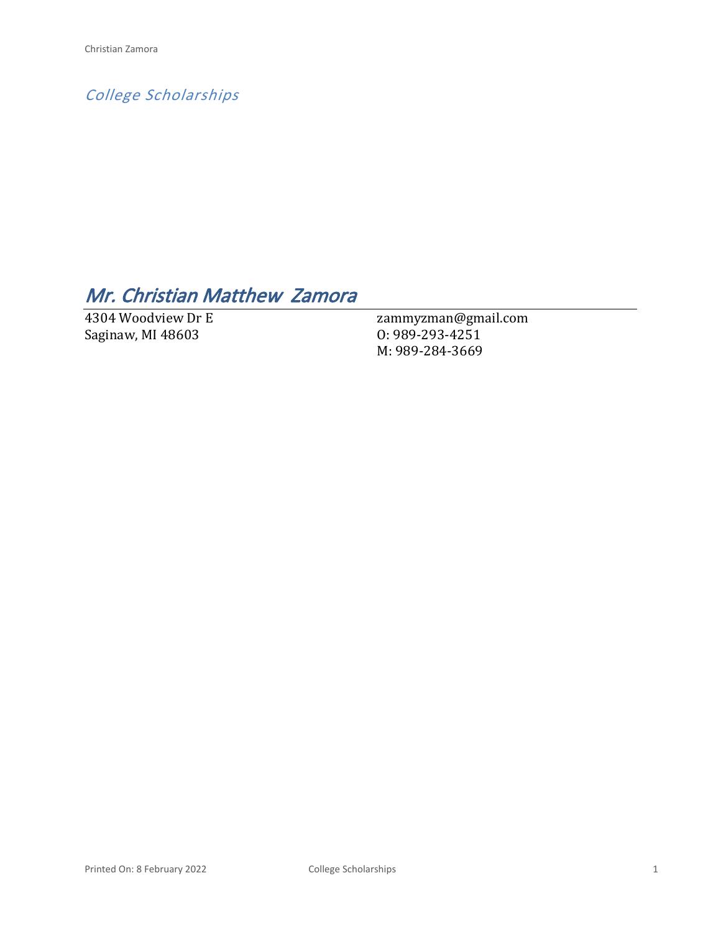*College Scholarships*

# *Mr. Christian Matthew Zamora*

4304 Woodview Dr E Saginaw, MI 48603

zammyzman@gmail.com O: 989-293-4251 M: 989-284-3669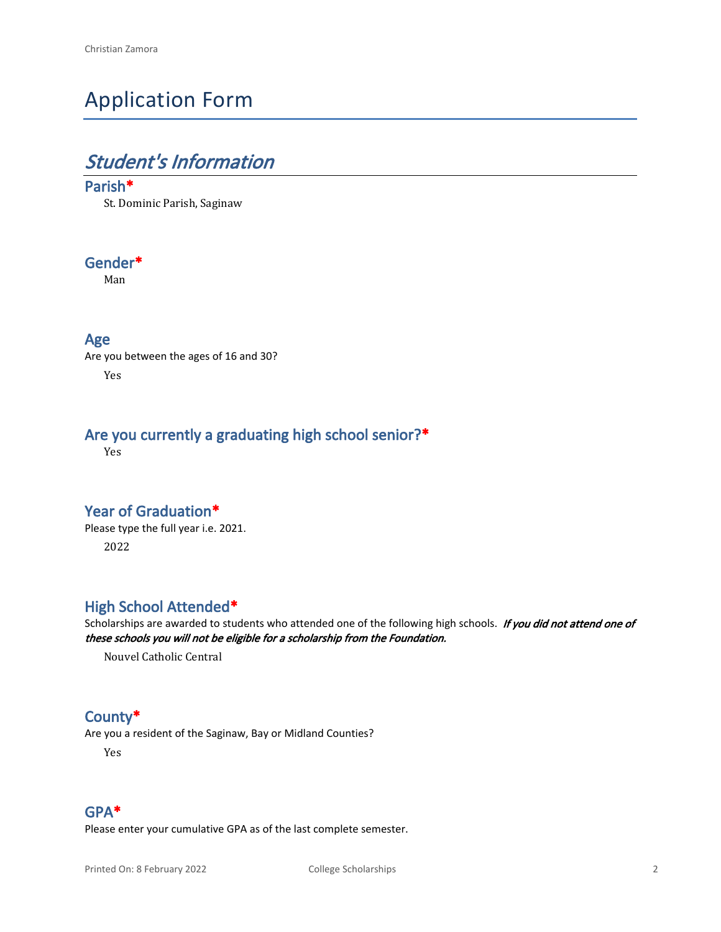# Application Form

# *Student's Information*

#### **Parish\***

St. Dominic Parish, Saginaw

#### **Gender\***

Man

#### **Age**

Are you between the ages of 16 and 30? Yes

### **Are you currently a graduating high school senior?\***

Yes

#### **Year of Graduation\***

Please type the full year i.e. 2021. 2022

### **High School Attended\***

Scholarships are awarded to students who attended one of the following high schools. *If you did not attend one of these schools you will not be eligible for a scholarship from the Foundation.*

Nouvel Catholic Central

#### **County\***

Are you a resident of the Saginaw, Bay or Midland Counties?

Yes

#### **GPA\***

Please enter your cumulative GPA as of the last complete semester.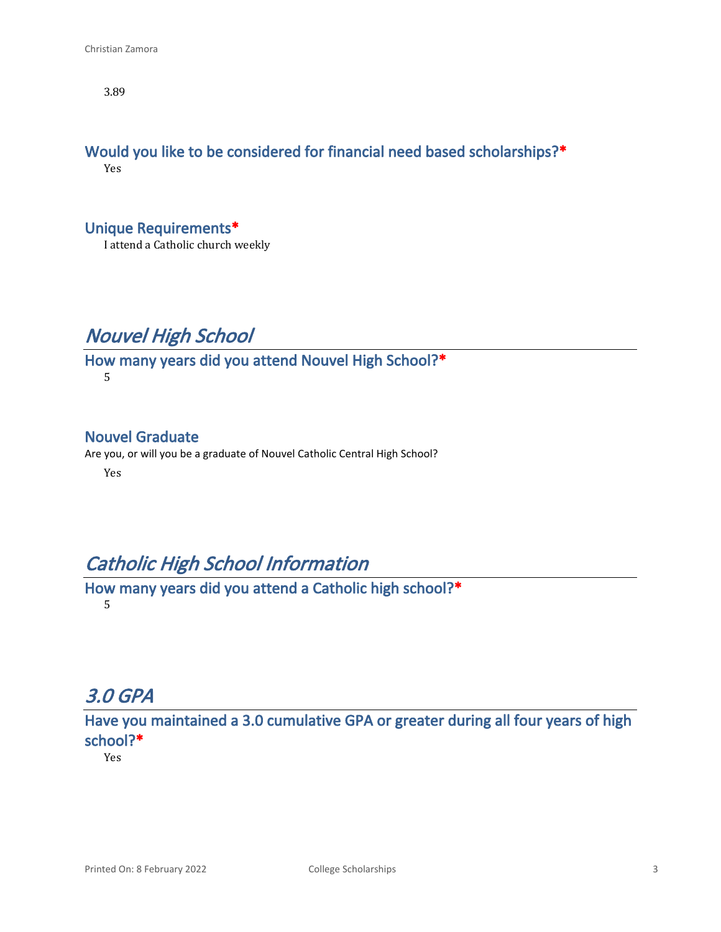3.89

#### **Would you like to be considered for financial need based scholarships?\*** Yes

**Unique Requirements\***

I attend a Catholic church weekly

# *Nouvel High School*

#### **How many years did you attend Nouvel High School?\*** 5

### **Nouvel Graduate**

Are you, or will you be a graduate of Nouvel Catholic Central High School?

Yes

# *Catholic High School Information*

**How many years did you attend a Catholic high school?\*** 5

## *3.0 GPA*

**Have you maintained a 3.0 cumulative GPA or greater during all four years of high school?\***

Yes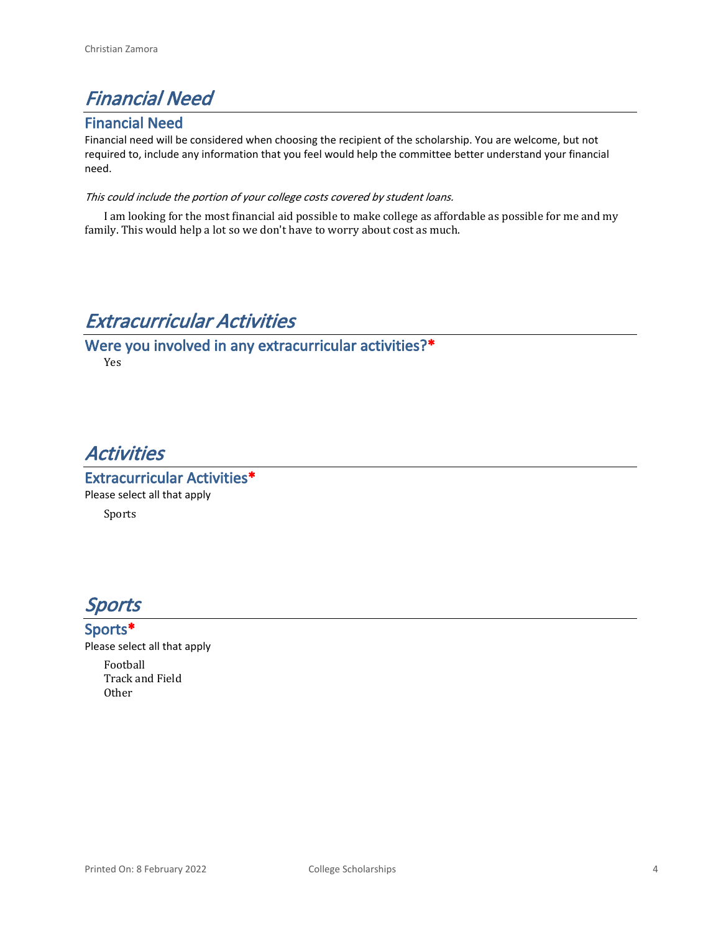# *Financial Need*

### **Financial Need**

Financial need will be considered when choosing the recipient of the scholarship. You are welcome, but not required to, include any information that you feel would help the committee better understand your financial need.

#### *This could include the portion of your college costs covered by student loans.*

I am looking for the most financial aid possible to make college as affordable as possible for me and my family. This would help a lot so we don't have to worry about cost as much.

# *Extracurricular Activities*

**Were you involved in any extracurricular activities?\***

Yes

# *Activities*

**Extracurricular Activities\*** Please select all that apply Sports



### **Sports\***

Please select all that apply

Football Track and Field **Other**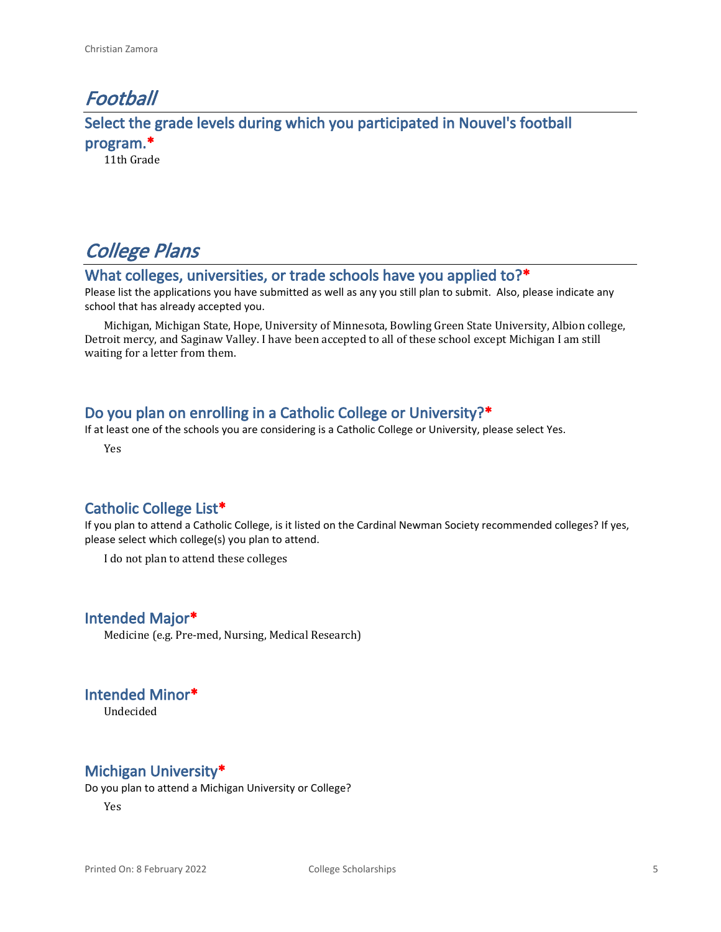## *Football* **Select the grade levels during which you participated in Nouvel's football program.\*** 11th Grade

*College Plans*

### **What colleges, universities, or trade schools have you applied to?\***

Please list the applications you have submitted as well as any you still plan to submit. Also, please indicate any school that has already accepted you.

Michigan, Michigan State, Hope, University of Minnesota, Bowling Green State University, Albion college, Detroit mercy, and Saginaw Valley. I have been accepted to all of these school except Michigan I am still waiting for a letter from them.

#### **Do you plan on enrolling in a Catholic College or University?\***

If at least one of the schools you are considering is a Catholic College or University, please select Yes.

Yes

#### **Catholic College List\***

If you plan to attend a Catholic College, is it listed on the Cardinal Newman Society recommended colleges? If yes, please select which college(s) you plan to attend.

I do not plan to attend these colleges

#### **Intended Major\***

Medicine (e.g. Pre-med, Nursing, Medical Research)

**Intended Minor\***

Undecided

### **Michigan University\***

Do you plan to attend a Michigan University or College?

Yes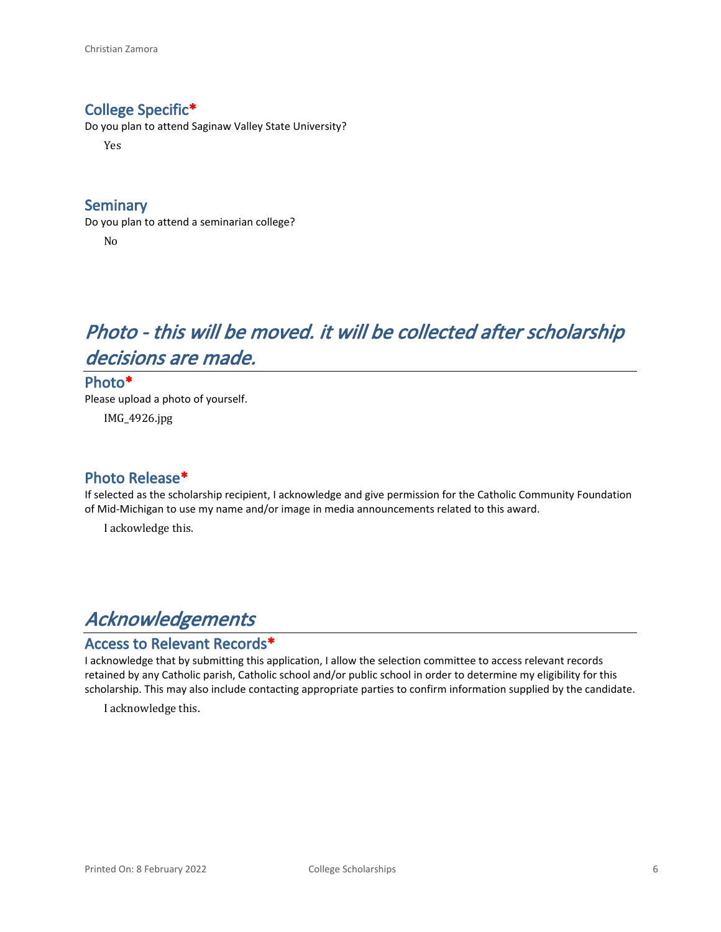### **College Specific\***

Do you plan to attend Saginaw Valley State University?

Yes

### **Seminary**

Do you plan to attend a seminarian college? No

# *Photo - this will be moved. it will be collected after scholarship decisions are made.*

**Photo\*** Please upload a photo of yourself. IMG\_4926.jpg

### **Photo Release\***

If selected as the scholarship recipient, I acknowledge and give permission for the Catholic Community Foundation of Mid-Michigan to use my name and/or image in media announcements related to this award.

I ackowledge this.

# *Acknowledgements*

#### **Access to Relevant Records\***

I acknowledge that by submitting this application, I allow the selection committee to access relevant records retained by any Catholic parish, Catholic school and/or public school in order to determine my eligibility for this scholarship. This may also include contacting appropriate parties to confirm information supplied by the candidate.

I acknowledge this.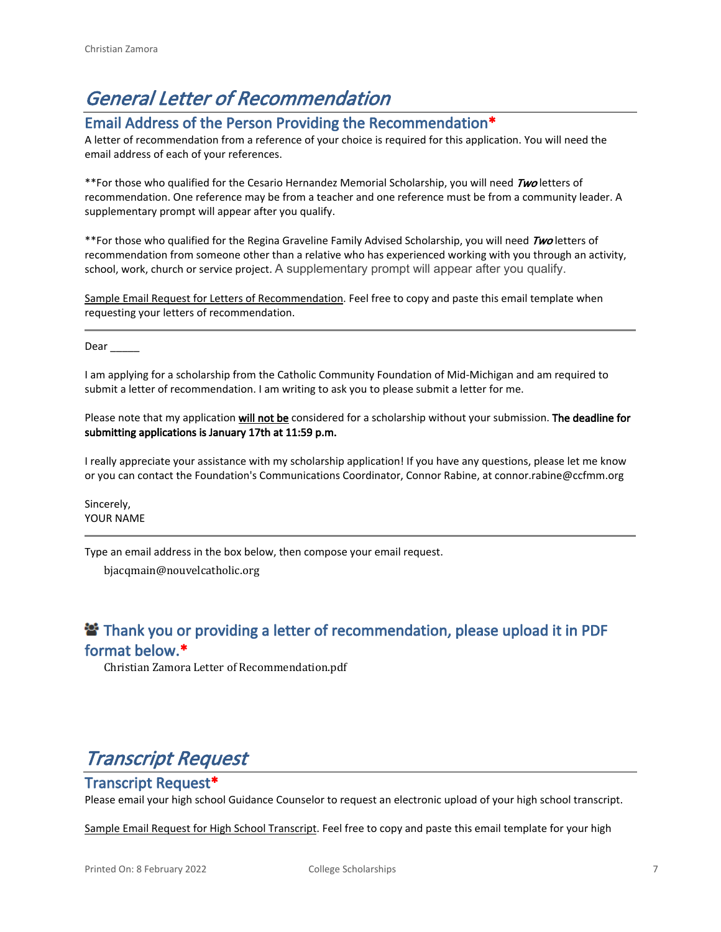# *General Letter of Recommendation*

#### **Email Address of the Person Providing the Recommendation\***

A letter of recommendation from a reference of your choice is required for this application. You will need the email address of each of your references.

\*\*For those who qualified for the Cesario Hernandez Memorial Scholarship, you will need *Two* letters of recommendation. One reference may be from a teacher and one reference must be from a community leader. A supplementary prompt will appear after you qualify.

\*\*For those who qualified for the Regina Graveline Family Advised Scholarship, you will need *Two* letters of recommendation from someone other than a relative who has experienced working with you through an activity, school, work, church or service project. A supplementary prompt will appear after you qualify.

Sample Email Request for Letters of Recommendation. Feel free to copy and paste this email template when requesting your letters of recommendation.

Dear

I am applying for a scholarship from the Catholic Community Foundation of Mid-Michigan and am required to submit a letter of recommendation. I am writing to ask you to please submit a letter for me.

Please note that my application **will not be** considered for a scholarship without your submission. **The deadline for submitting applications is January 17th at 11:59 p.m.**

I really appreciate your assistance with my scholarship application! If you have any questions, please let me know or you can contact the Foundation's Communications Coordinator, Connor Rabine, at connor.rabine@ccfmm.org

Sincerely, YOUR NAME

Type an email address in the box below, then compose your email request.

bjacqmain@nouvelcatholic.org

### **<sup>2</sup> Thank you or providing a letter of recommendation, please upload it in PDF format below.\***

Christian Zamora Letter of Recommendation.pdf

# *Transcript Request*

#### **Transcript Request\***

Please email your high school Guidance Counselor to request an electronic upload of your high school transcript.

Sample Email Request for High School Transcript. Feel free to copy and paste this email template for your high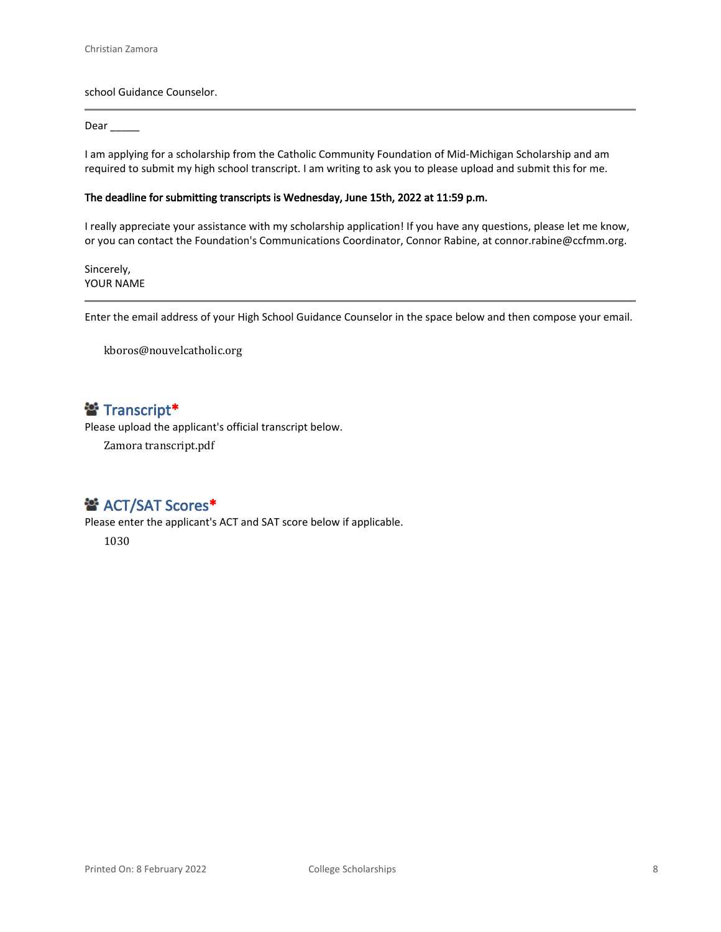school Guidance Counselor.

#### Dear \_\_\_\_\_\_

I am applying for a scholarship from the Catholic Community Foundation of Mid-Michigan Scholarship and am required to submit my high school transcript. I am writing to ask you to please upload and submit this for me.

#### **The deadline for submitting transcripts is Wednesday, June 15th, 2022 at 11:59 p.m.**

I really appreciate your assistance with my scholarship application! If you have any questions, please let me know, or you can contact the Foundation's Communications Coordinator, Connor Rabine, at connor.rabine@ccfmm.org.

Sincerely, YOUR NAME

Enter the email address of your High School Guidance Counselor in the space below and then compose your email.

kboros@nouvelcatholic.org

### **Transcript\***

Please upload the applicant's official transcript below.

Zamora transcript.pdf

### **普 ACT/SAT Scores\***

Please enter the applicant's ACT and SAT score below if applicable.

1030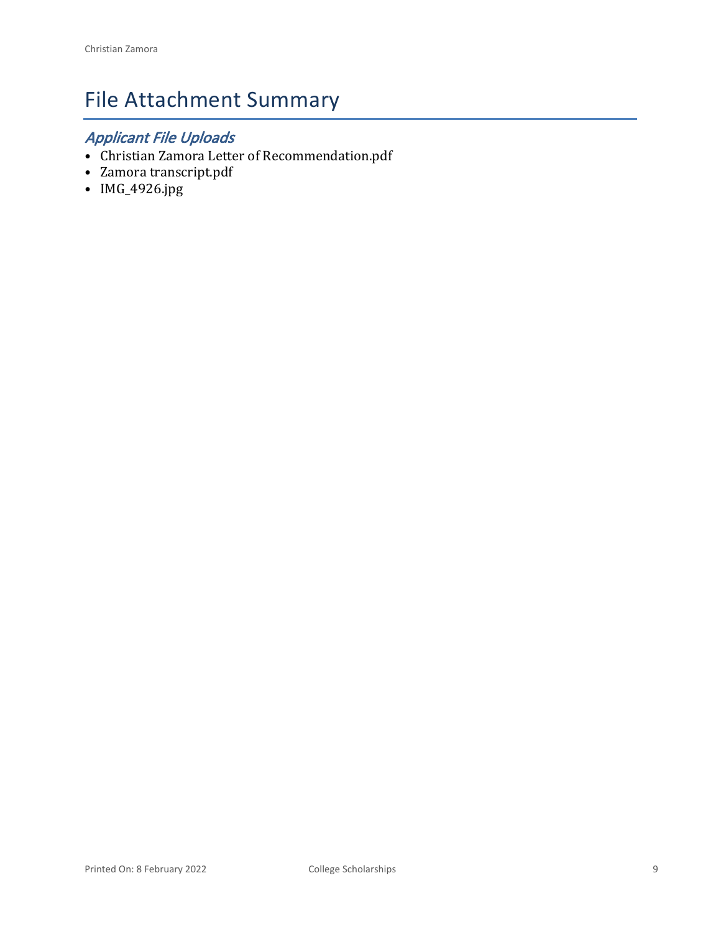# File Attachment Summary

## *Applicant File Uploads*

- Christian Zamora Letter of Recommendation.pdf
- Zamora transcript.pdf
- IMG\_4926.jpg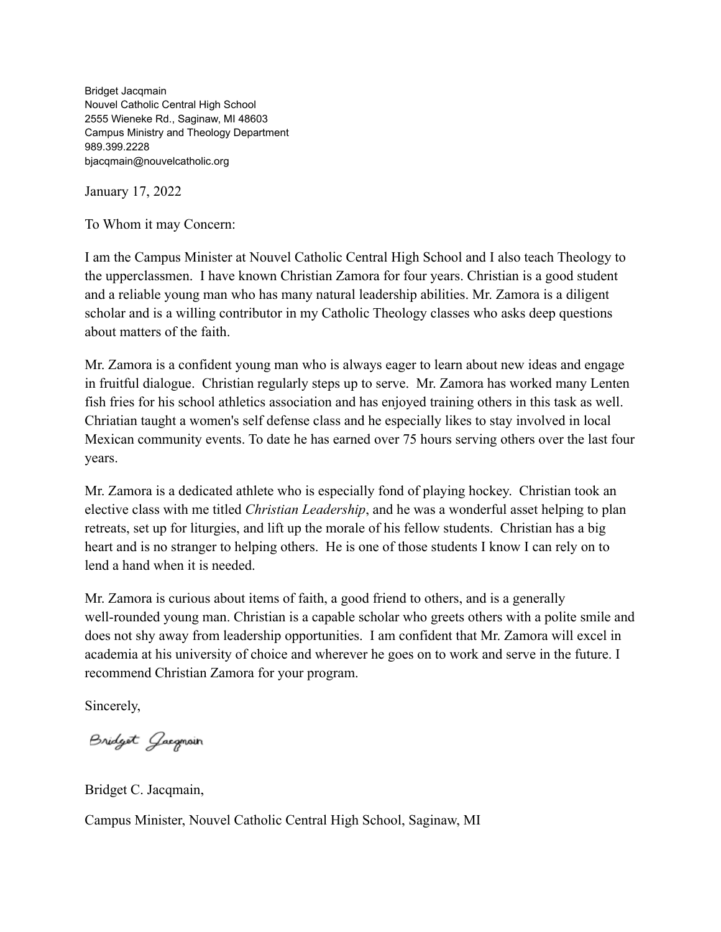Bridget Jacqmain Nouvel Catholic Central High School 2555 Wieneke Rd., Saginaw, MI 48603 Campus Ministry and Theology Department 989.399.2228 bjacqmain@nouvelcatholic.org

January 17, 2022

To Whom it may Concern:

I am the Campus Minister at Nouvel Catholic Central High School and I also teach Theology to the upperclassmen. I have known Christian Zamora for four years. Christian is a good student and a reliable young man who has many natural leadership abilities. Mr. Zamora is a diligent scholar and is a willing contributor in my Catholic Theology classes who asks deep questions about matters of the faith.

Mr. Zamora is a confident young man who is always eager to learn about new ideas and engage in fruitful dialogue. Christian regularly steps up to serve. Mr. Zamora has worked many Lenten fish fries for his school athletics association and has enjoyed training others in this task as well. Chriatian taught a women's self defense class and he especially likes to stay involved in local Mexican community events. To date he has earned over 75 hours serving others over the last four years.

Mr. Zamora is a dedicated athlete who is especially fond of playing hockey. Christian took an elective class with me titled *Christian Leadership*, and he was a wonderful asset helping to plan retreats, set up for liturgies, and lift up the morale of his fellow students. Christian has a big heart and is no stranger to helping others. He is one of those students I know I can rely on to lend a hand when it is needed.

Mr. Zamora is curious about items of faith, a good friend to others, and is a generally well-rounded young man. Christian is a capable scholar who greets others with a polite smile and does not shy away from leadership opportunities. I am confident that Mr. Zamora will excel in academia at his university of choice and wherever he goes on to work and serve in the future. I recommend Christian Zamora for your program.

Sincerely,

Bridget Gacgmain

Bridget C. Jacqmain,

Campus Minister, Nouvel Catholic Central High School, Saginaw, MI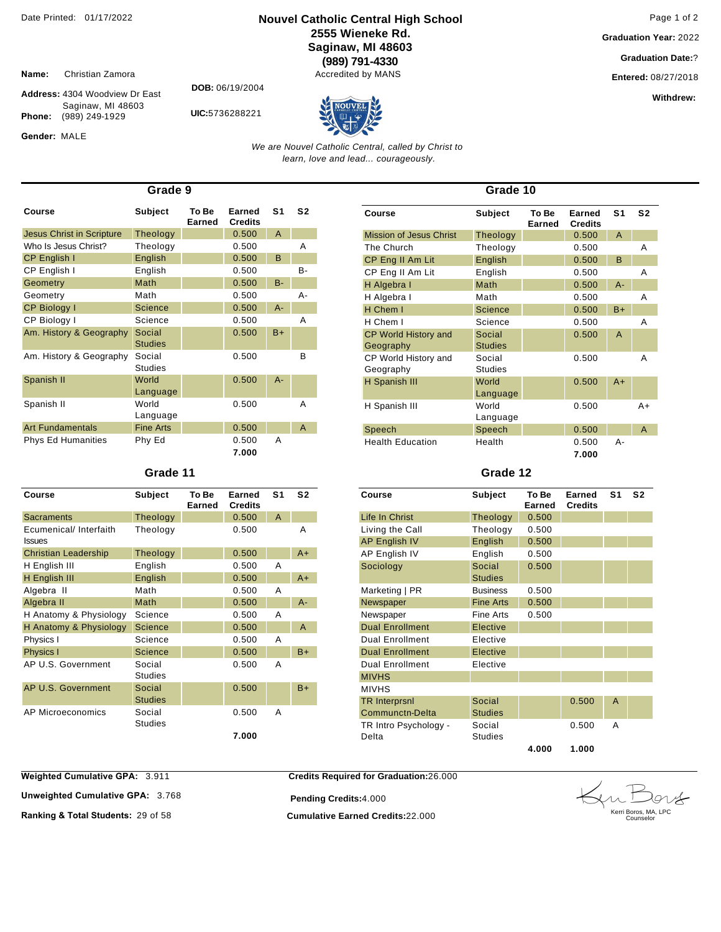#### **Nouvel Catholic Central High School** Date Printed: 01/17/2022 Page 1 of 2 **2555 Wieneke Rd. Saginaw, MI 48603 (989) 791-4330**

Accredited by MANS

**Graduation Year:** 2022

**Graduation Date:**?

**Entered:** 08/27/2018

**Withdrew:** 

**Name:** Christian Zamora

Phone: (989) 249-1929

Gender: MALE

**Address:** 4304 Woodview Dr East Saginaw, MI 48603

**DOB:** 06/19/2004

**UIC:**5736288221



*We are Nouvel Catholic Central, called by Christ to learn, love and lead... courageously.*

| Grade 9                   |                          |                 |                          |       |                |  |
|---------------------------|--------------------------|-----------------|--------------------------|-------|----------------|--|
| Course                    | Subject                  | To Be<br>Earned | Earned<br><b>Credits</b> | S1    | S <sub>2</sub> |  |
| Jesus Christ in Scripture | Theology                 |                 | 0.500                    | A     |                |  |
| Who Is Jesus Christ?      | Theology                 |                 | 0.500                    |       | Α              |  |
| <b>CP English I</b>       | English                  |                 | 0.500                    | B     |                |  |
| CP English I              | English                  |                 | 0.500                    |       | $B -$          |  |
| Geometry                  | Math                     |                 | 0.500                    | $B -$ |                |  |
| Geometry                  | Math                     |                 | 0.500                    |       | A-             |  |
| <b>CP Biology I</b>       | <b>Science</b>           |                 | 0.500                    | $A -$ |                |  |
| CP Biology I              | Science                  |                 | 0.500                    |       | Α              |  |
| Am. History & Geography   | Social<br><b>Studies</b> |                 | 0.500                    | $B+$  |                |  |
| Am. History & Geography   | Social<br><b>Studies</b> |                 | 0.500                    |       | B              |  |
| Spanish II                | World<br>Language        |                 | 0.500                    | $A -$ |                |  |
| Spanish II                | World<br>Language        |                 | 0.500                    |       | Α              |  |
| <b>Art Fundamentals</b>   | <b>Fine Arts</b>         |                 | 0.500                    |       | A              |  |
| <b>Phys Ed Humanities</b> | Phy Ed                   |                 | 0.500<br>7.000           | Α     |                |  |

#### **Grade 11**

| Course                                  | <b>Subject</b>           | To Be<br><b>Earned</b> | <b>Earned</b><br><b>Credits</b> | S <sub>1</sub> | S <sub>2</sub> |
|-----------------------------------------|--------------------------|------------------------|---------------------------------|----------------|----------------|
| <b>Sacraments</b>                       | Theology                 |                        | 0.500                           | A              |                |
| Ecumenical/ Interfaith<br><b>Issues</b> | Theology                 |                        | 0.500                           |                | A              |
| <b>Christian Leadership</b>             | Theology                 |                        | 0.500                           |                | A+             |
| H English III                           | English                  |                        | 0.500                           | Α              |                |
| H English III                           | English                  |                        | 0.500                           |                | $A+$           |
| Algebra II                              | Math                     |                        | 0.500                           | A              |                |
| Algebra II                              | Math                     |                        | 0.500                           |                | $A -$          |
| H Anatomy & Physiology                  | Science                  |                        | 0.500                           | A              |                |
| H Anatomy & Physiology                  | <b>Science</b>           |                        | 0.500                           |                | A              |
| Physics I                               | Science                  |                        | 0.500                           | A              |                |
| Physics I                               | Science                  |                        | 0.500                           |                | $B+$           |
| AP U.S. Government                      | Social<br><b>Studies</b> |                        | 0.500                           | A              |                |
| AP U.S. Government                      | Social<br><b>Studies</b> |                        | 0.500                           |                | $B+$           |
| AP Microeconomics                       | Social<br><b>Studies</b> |                        | 0.500                           | A              |                |
|                                         |                          |                        | 7.000                           |                |                |

| Grade 10                                 |                          |                 |                          |                |                |  |
|------------------------------------------|--------------------------|-----------------|--------------------------|----------------|----------------|--|
| Course                                   | <b>Subject</b>           | To Be<br>Earned | Earned<br><b>Credits</b> | S <sub>1</sub> | S <sub>2</sub> |  |
| Mission of Jesus Christ                  | Theology                 |                 | 0.500                    | $\overline{A}$ |                |  |
| The Church                               | Theology                 |                 | 0.500                    |                | Α              |  |
| CP Eng II Am Lit                         | English                  |                 | 0.500                    | B              |                |  |
| CP Eng II Am Lit                         | English                  |                 | 0.500                    |                | Α              |  |
| H Algebra I                              | Math                     |                 | 0.500                    | $A -$          |                |  |
| H Algebra I                              | Math                     |                 | 0.500                    |                | Α              |  |
| H Chem I                                 | <b>Science</b>           |                 | 0.500                    | $B+$           |                |  |
| H Chem I                                 | Science                  |                 | 0.500                    |                | Α              |  |
| <b>CP World History and</b><br>Geography | Social<br><b>Studies</b> |                 | 0.500                    | $\overline{A}$ |                |  |
| CP World History and<br>Geography        | Social<br><b>Studies</b> |                 | 0.500                    |                | A              |  |
| H Spanish III                            | World<br>Language        |                 | 0.500                    | $A+$           |                |  |
| H Spanish III                            | World<br>Language        |                 | 0.500                    |                | $A+$           |  |
| Speech                                   | Speech                   |                 | 0.500                    |                | A              |  |
| <b>Health Education</b>                  | Health                   |                 | 0.500<br>7.000           | А-             |                |  |

#### **Grade 12**

| Course                                  | <b>Subject</b>           | To Be<br>Earned | Earned<br><b>Credits</b> | S <sub>1</sub> | S <sub>2</sub> |
|-----------------------------------------|--------------------------|-----------------|--------------------------|----------------|----------------|
| Life In Christ                          | Theology                 | 0.500           |                          |                |                |
| Living the Call                         | Theology                 | 0.500           |                          |                |                |
| AP English IV                           | English                  | 0.500           |                          |                |                |
| AP English IV                           | English                  | 0.500           |                          |                |                |
| Sociology                               | Social<br><b>Studies</b> | 0.500           |                          |                |                |
| Marketing   PR                          | <b>Business</b>          | 0.500           |                          |                |                |
| Newspaper                               | <b>Fine Arts</b>         | 0.500           |                          |                |                |
| Newspaper                               | Fine Arts                | 0.500           |                          |                |                |
| <b>Dual Enrollment</b>                  | Elective                 |                 |                          |                |                |
| <b>Dual Enrollment</b>                  | Elective                 |                 |                          |                |                |
| <b>Dual Enrollment</b>                  | Elective                 |                 |                          |                |                |
| <b>Dual Enrollment</b>                  | Elective                 |                 |                          |                |                |
| <b>MIVHS</b>                            |                          |                 |                          |                |                |
| <b>MIVHS</b>                            |                          |                 |                          |                |                |
| <b>TR Interprsnl</b><br>Communctn-Delta | Social<br><b>Studies</b> |                 | 0.500                    | $\overline{A}$ |                |
| TR Intro Psychology -<br>Delta          | Social<br>Studies        |                 | 0.500                    | A              |                |
|                                         |                          | 4.000           | 1.000                    |                |                |

**Weighted Cumulative GPA: 3.911** 

**Unweighted Cumulative GPA: 3.768** 

**Pending Credits:**4.000

**Ranking & Total Students:** 29 of 58 **Cumulative Earned Credits:**22.000

**Credits Required for Graduation:**26.000

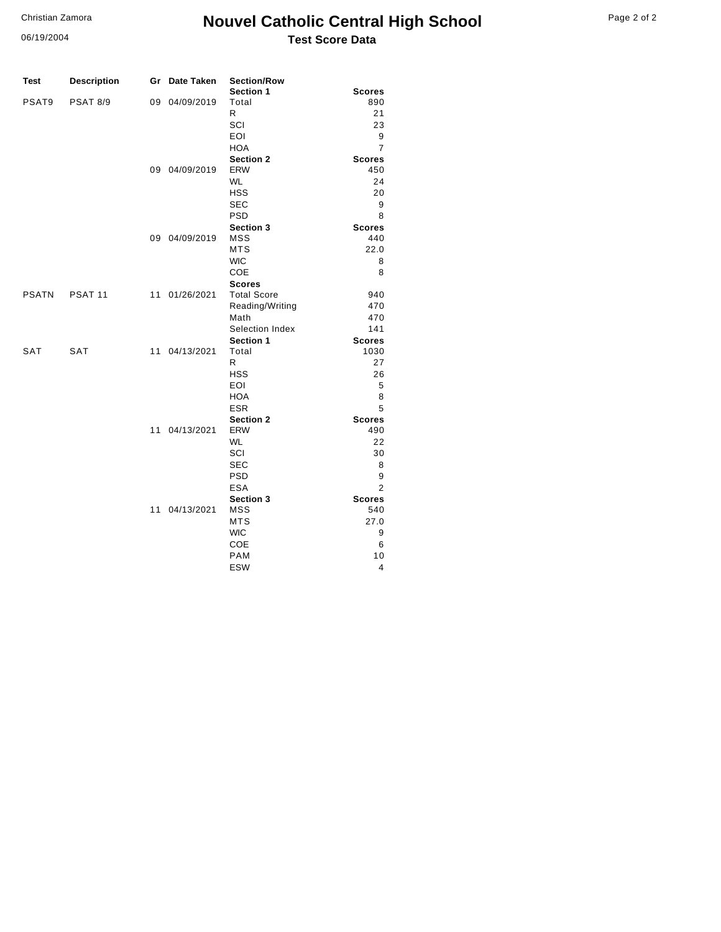06/19/2004

## **Nouvel Catholic Central High School** Page 2 of 2 **Test Score Data**

| <b>Test</b>  | <b>Description</b> | Gr | Date Taken    | <b>Section/Row</b>       |                      |
|--------------|--------------------|----|---------------|--------------------------|----------------------|
| PSAT9        | <b>PSAT 8/9</b>    |    | 09 04/09/2019 | Section 1<br>Total       | <b>Scores</b><br>890 |
|              |                    |    |               | R                        | 21                   |
|              |                    |    |               | SCI                      | 23                   |
|              |                    |    |               | <b>EOI</b>               | 9                    |
|              |                    |    |               | <b>HOA</b>               | 7                    |
|              |                    |    |               | <b>Section 2</b>         | <b>Scores</b>        |
|              |                    |    | 09 04/09/2019 | <b>ERW</b>               | 450                  |
|              |                    |    |               | <b>WL</b>                | 24                   |
|              |                    |    |               | <b>HSS</b>               | 20                   |
|              |                    |    |               | <b>SEC</b>               | 9                    |
|              |                    |    |               | <b>PSD</b>               | 8                    |
|              |                    |    |               | <b>Section 3</b>         | <b>Scores</b>        |
|              |                    |    | 09 04/09/2019 | <b>MSS</b>               | 440                  |
|              |                    |    |               | <b>MTS</b>               | 22.0                 |
|              |                    |    |               | <b>WIC</b>               | 8                    |
|              |                    |    |               | COE                      | 8                    |
|              |                    |    |               | <b>Scores</b>            |                      |
| <b>PSATN</b> | PSAT <sub>11</sub> | 11 | 01/26/2021    | <b>Total Score</b>       | 940                  |
|              |                    |    |               | Reading/Writing          | 470                  |
|              |                    |    |               | Math                     | 470                  |
|              |                    |    |               | Selection Index          | 141                  |
|              |                    |    |               | Section 1                | <b>Scores</b>        |
| SAT          | <b>SAT</b>         | 11 | 04/13/2021    | Total                    | 1030                 |
|              |                    |    |               | R                        | 27                   |
|              |                    |    |               | <b>HSS</b><br><b>EOI</b> | 26<br>5              |
|              |                    |    |               | <b>HOA</b>               | 8                    |
|              |                    |    |               | <b>ESR</b>               | 5                    |
|              |                    |    |               | <b>Section 2</b>         | <b>Scores</b>        |
|              |                    | 11 | 04/13/2021    | <b>ERW</b>               | 490                  |
|              |                    |    |               | <b>WL</b>                | 22                   |
|              |                    |    |               | SCI                      | 30                   |
|              |                    |    |               | <b>SEC</b>               | 8                    |
|              |                    |    |               | <b>PSD</b>               | 9                    |
|              |                    |    |               | <b>ESA</b>               | 2                    |
|              |                    |    |               | Section 3                | <b>Scores</b>        |
|              |                    | 11 | 04/13/2021    | <b>MSS</b>               | 540                  |
|              |                    |    |               | <b>MTS</b>               | 27.0                 |
|              |                    |    |               | <b>WIC</b>               | 9                    |
|              |                    |    |               | COE                      | 6                    |
|              |                    |    |               | <b>PAM</b>               | 10                   |
|              |                    |    |               | <b>ESW</b>               | 4                    |